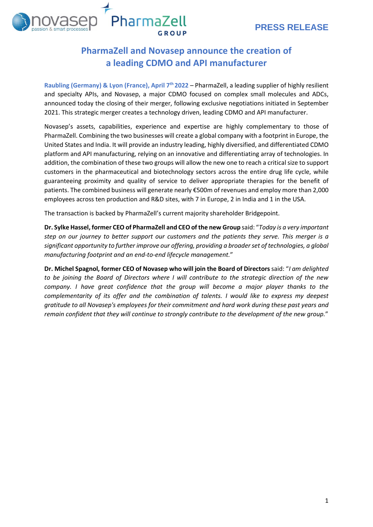

## **PharmaZell and Novasep announce the creation of a leading CDMO and API manufacturer**

**Raubling (Germany) & Lyon (France), April 7 th 2022** – PharmaZell, a leading supplier of highly resilient and specialty APIs, and Novasep, a major CDMO focused on complex small molecules and ADCs, announced today the closing of their merger, following exclusive negotiations initiated in September 2021. This strategic merger creates a technology driven, leading CDMO and API manufacturer.

Novasep's assets, capabilities, experience and expertise are highly complementary to those of PharmaZell. Combining the two businesses will create a global company with a footprint in Europe, the United States and India. It will provide an industry leading, highly diversified, and differentiated CDMO platform and API manufacturing, relying on an innovative and differentiating array of technologies. In addition, the combination of these two groups will allow the new one to reach a critical size to support customers in the pharmaceutical and biotechnology sectors across the entire drug life cycle, while guaranteeing proximity and quality of service to deliver appropriate therapies for the benefit of patients. The combined business will generate nearly €500m of revenues and employ more than 2,000 employees across ten production and R&D sites, with 7 in Europe, 2 in India and 1 in the USA.

The transaction is backed by PharmaZell's current majority shareholder Bridgepoint.

**Dr. Sylke Hassel, former CEO of PharmaZell and CEO of the new Group** said: "*Today is a very important step on our journey to better support our customers and the patients they serve. This merger is a significant opportunity to further improve our offering, providing a broader set of technologies, a global manufacturing footprint and an end-to-end lifecycle management.*"

**Dr. Michel Spagnol, former CEO of Novasep who will join the Board of Directors** said: "*I am delighted to be joining the Board of Directors where I will contribute to the strategic direction of the new company. I have great confidence that the group will become a major player thanks to the complementarity of its offer and the combination of talents. I would like to express my deepest gratitude to all Novasep's employees for their commitment and hard work during these past years and remain confident that they will continue to strongly contribute to the development of the new group.*"